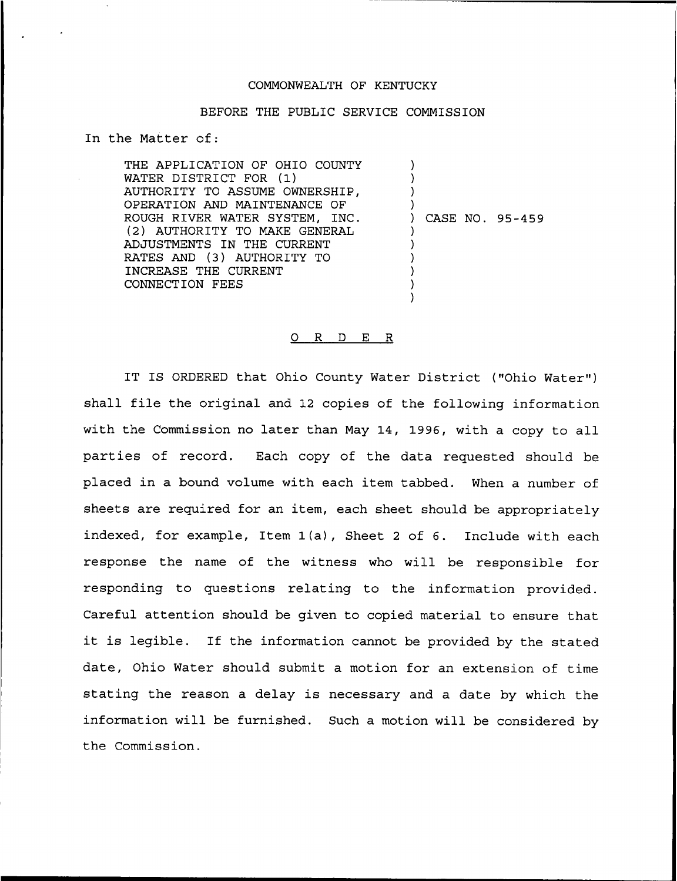#### COMMONWEALTH OF KENTUCKY

### BEFORE THE PUBLIC SERVICE COMMISSION

In the Matter of:

THE APPLICATION OF OHIO COUNTY WATER DISTRICT FOR (1) AUTHORITY TO ASSUME OWNERSHIP, OPERATION AND MAINTENANCE OF ROUGH RIVER WATER SYSTEM, INC. (2) AUTHORITY TO MAKE GENERAL ADJUSTMENTS IN THE CURRENT RATES AND (3) AUTHORITY TO INCREASE THE CURRENT CONNECTION FEES ) ) ) ) ) CASE NO. 95-459 ) ) ) ) )

#### 0 R <sup>D</sup> E R

)

IT IS ORDERED that Ohio County Water District ("Ohio Water") shall file the original and 12 copies of the following information with the Commission no later than May 14, 1996, with a copy to all parties of record. Each copy of the data requested should be placed in a bound volume with each item tabbed. When a number of sheets are required for an item, each sheet should be appropriately indexed, for example, Item 1(a), Sheet <sup>2</sup> of 6. Include with each response the name of the witness who will be responsible for responding to questions relating to the information provided. Careful attention should be given to copied material to ensure that it is legible. If the information cannot be provided by the stated date, Ohio Water should submit a motion for an extension of time stating the reason a delay is necessary and a date by which the information will be furnished. Such a motion will be considered by the Commission.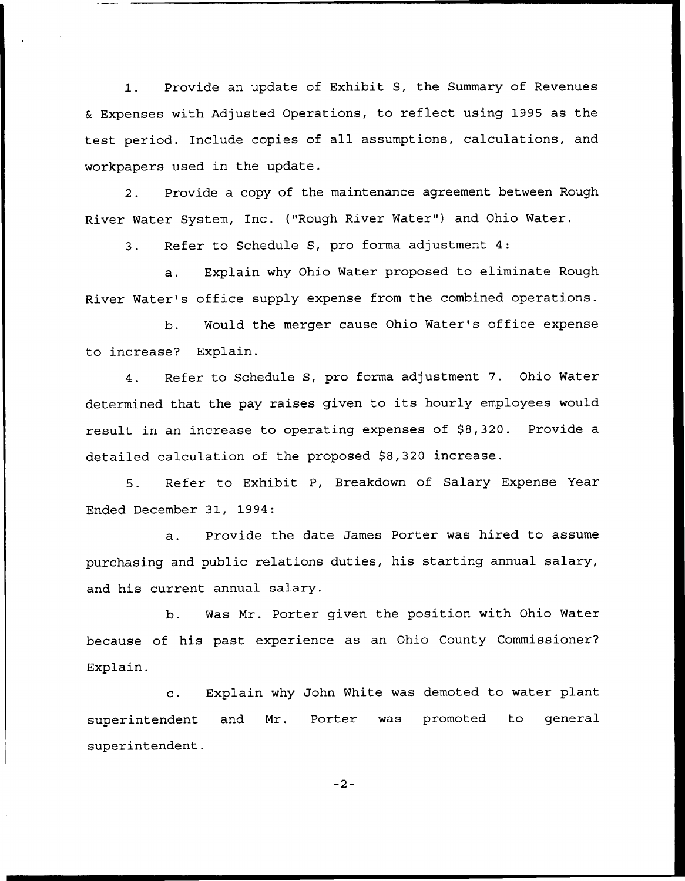Provide an update of Exhibit S, the Summary of Revenues  $1.$ Expenses with Adjusted Operations, to reflect using 1995 as the test period. Include copies of all assumptions, calculations, and workpapers used in the update.

2. Provide a copy of the maintenance agreement between Rough River Water System, Inc. ("Rough River Water") and Ohio Water.

3. Refer to Schedule S, pro forma adjustment 4:

a. Explain why Ohio Nater proposed to eliminate Rough River Water's office supply expense from the combined operations.

b. Would the merger cause Ohio Water's office expense to increase? Explain.

4. Refer to Schedule S, pro forma adjustment 7. Ohio Water determined that the pay raises given to its hourly employees would result in an increase to operating expenses of \$8,320. Provide a detailed calculation of the proposed \$8,320 increase.

5. Refer to Exhibit P, Breakdown of Salary Expense Year Ended December 31, 1994:

a. Provide the date James Porter was hired to assume purchasing and public relations duties, his starting annual salary, and his current annual salary.

b. Nas Mr. Porter given the position with Ohio Water because of his past experience as an Ohio County Commissioner? Explain.

c. Explain why John White was demoted to water plant superintendent and Mr. Porter was promoted to general superintendent.

 $-2-$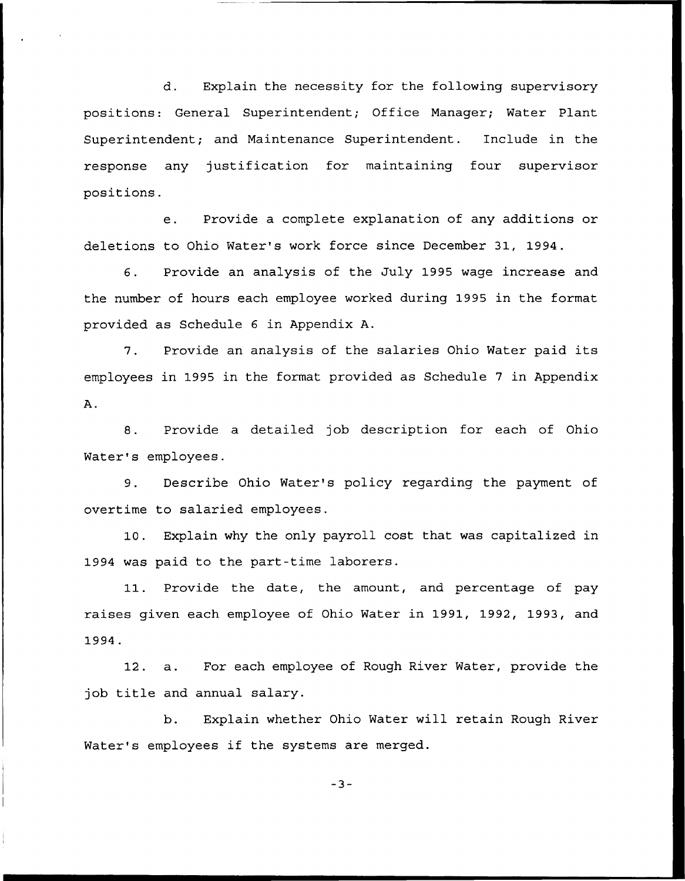d. Explain the necessity for the following supervisory positions: General Superintendent; Office Manager; Water Plant Superintendent; and Maintenance Superintendent. Include in the response any justification for maintaining four supervisor positions.

e. Provide a complete explanation of any additions or deletions to Ohio Water's work force since December 31, 1994.

6. Provide an analysis of the July 1995 wage increase and the number of hours each employee worked during 1995 in the format provided as Schedule 6 in Appendix A.

7. Provide an analysis of the salaries Ohio Water paid its employees in 1995 in the format provided as Schedule 7 in Appendix  $A$ .

8. Provide a detailed job description for each of Ohio Water's employees.

9. Describe Ohio Water's policy regarding the payment of overtime to salaried employees.

10. Explain why the only payroll cost that was capitalized in 1994 was paid to the part-time laborers.

11. Provide the date, the amount, and percentage of pay raises given each employee of Ohio Water in 1991, 1992, 1993, and 1994.

12. a. For each employee of Rough River Water, provide the job title and annual salary.

b. Explain whether Ohio Water will retain Rough River Water's employees if the systems are merged.

 $-3-$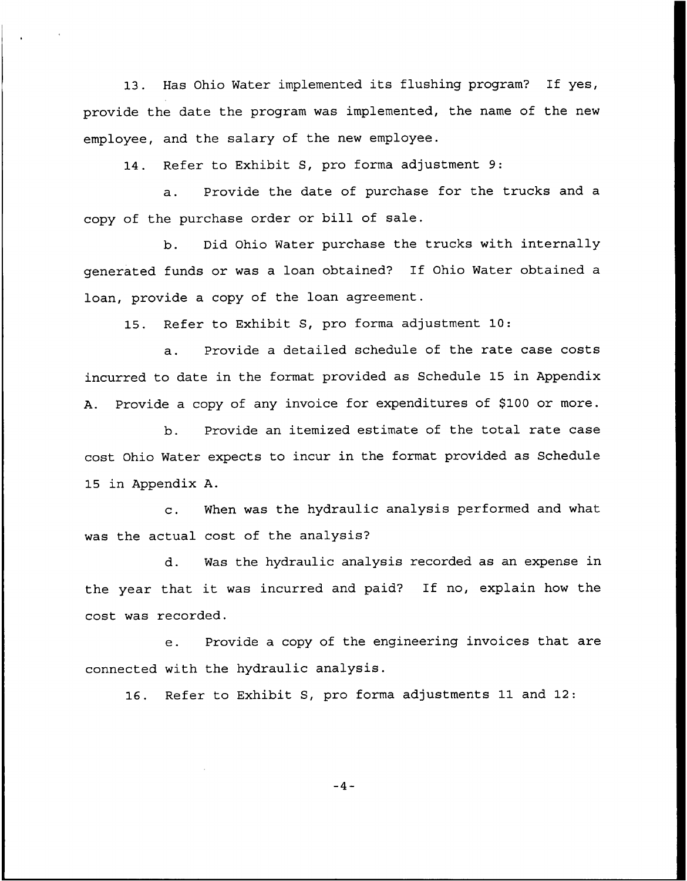13. Has Ohio Water implemented its flushing program? If yes, provide the date the program was implemented, the name of the new employee, and the salary of the new employee.

14. Refer to Exhibit S, pro forma adjustment 9:

a. Provide the date of purchase for the trucks and a copy of the purchase order or bill of sale.

b. Did Ohio Water purchase the trucks with internally generated funds or was <sup>a</sup> loan obtained? If Ohio Water obtained a loan, provide a copy of the loan agreement.

15. Refer to Exhibit S, pro forma adjustment 10:

a. Provide a detailed schedule of the rate case costs incurred to date in the format provided as Schedule 15 in Appendix A. Provide a copy of any invoice for expenditures of \$100 or more.

b. Provide an itemized estimate of the total rate case cost Ohio Water expects to incur in the format provided as Schedule 15 in Appendix A.

c. When was the hydraulic analysis performed and what was the actual cost of the analysis?

d. Was the hydraulic analysis recorded as an expense in the year that it was incurred and paid? If no, explain how the cost was recorded.

e. Provide <sup>a</sup> copy of the engineering invoices that are connected with the hydraulic analysis.

16. Refer to Exhibit S, pro forma adjustments 11 and 12:

 $-4-$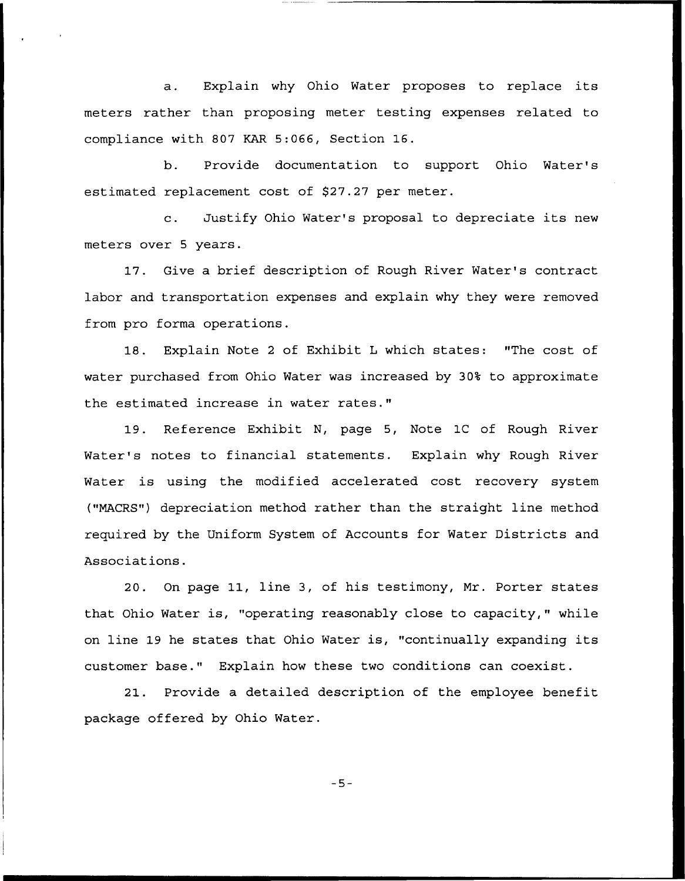a. Explain why Ohio Water proposes to replace its meters rather than proposing meter testing expenses related to compliance with 807 KAR 5:066, Section 16.

b. Provide documentation to support Ohio Water' estimated replacement cost of \$27.27 per meter.

c. Justify Ohio Water's proposal to depreciate its new meters over 5 years.

17. Give a brief description of Rough River Water's contract labor and transportation expenses and explain why they were removed from pro forma operations.

18. Explain Note <sup>2</sup> of Exhibit <sup>L</sup> which states: "The cost of water purchased from Ohio Water was increased by 30% to approximate the estimated increase in water rates."

19. Reference Exhibit N, page 5, Note 1C of Rough River Water's notes to financial statements. Explain why Rough River Water is using the modified accelerated cost recovery system ("MACRS") depreciation method rather than the straight line method required by the Uniform System of Accounts for Water Districts and Associations.

20. On page 11, line 3, of his testimony, Mr. Porter states that Ohio Water is, "operating reasonably close to capacity," while on line 19 he states that Ohio Water is, "continually expanding its customer base." Explain how these two conditions can coexist.

21. Provide a detailed description of the employee benefit package offered by Ohio Water.

 $-5-$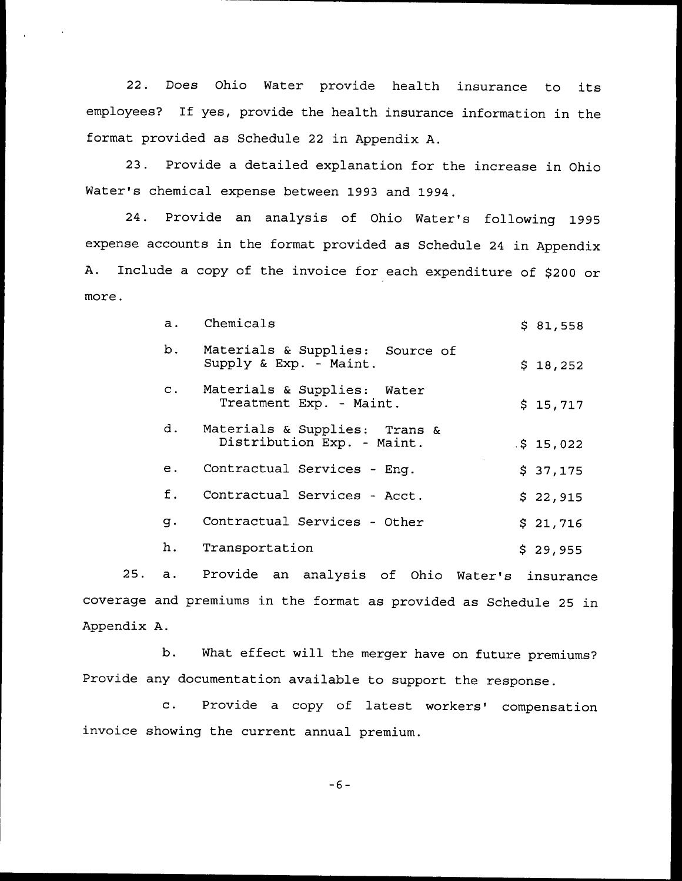22. Does Ohio Water provide health insurance to its employees? If yes, provide the health insurance information in the format provided as Schedule 22 in Appendix A.

23. Provide a detailed explanation for the increase in Ohio Water's chemical expense between 1993 and 1994.

24. Provide an analysis of Ohio Water's following 1995 expense accounts in the format provided as Schedule 24 in Appendix A. Include a copy of the invoice for each expenditure of \$200 or more.

| $a$ . | Chemicals                                                      | \$81,558 |
|-------|----------------------------------------------------------------|----------|
|       | b. Materials & Supplies: Source of<br>Supply & Exp. - Maint.   | \$18,252 |
|       | c. Materials & Supplies: Water<br>Treatment Exp. - Maint.      | \$15,717 |
|       | d. Materials & Supplies: Trans &<br>Distribution Exp. - Maint. | .515,022 |
| е.    | Contractual Services - Enq.                                    | \$37,175 |
| f.    | Contractual Services - Acct.                                   | \$22,915 |
| q.    | Contractual Services - Other                                   | \$21,716 |
| h.    | Transportation                                                 | \$29,955 |

25. a. Provide an analysis of Ohio Water's insurance coverage and premiums in the format as provided as Schedule 25 in Appendix A.

b. What effect will the merger have on future premiums? Provide any documentation available to support the response.

c. Provide a copy of latest workers' compensation invoice showing the current annual premium.

 $-6-$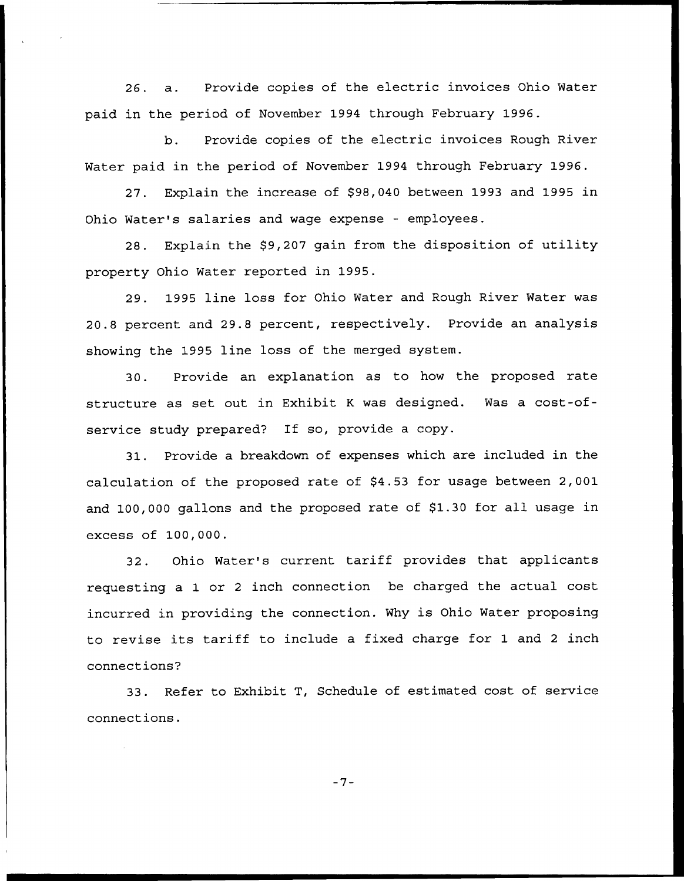26. a. Provide copies of the electric invoices Ohio Water paid in the period of November 1994 through February 1996.

b. Provide copies of the electric invoices Rough River Water paid in the period of November 1994 through February 1996.

27. Explain the increase of \$98,040 between 1993 and 1995 in Ohio Water's salaries and wage expense — employees.

28. Explain the \$9,207 gain from the disposition of utility property Ohio Water reported in 1995.

29. 1995 line loss for Ohio Water and Rough River Water was 20.8 percent and 29.8 percent, respectively. Provide an analysis showing the 1995 line loss of the merged system.

30. Provide an explanation as to how the proposed rate structure as set out in Exhibit <sup>K</sup> was designed. Was a cost-ofservice study prepared? If so, provide <sup>a</sup> copy.

31. Provide a breakdown of expenses which are included in the calculation of the proposed rate of S4.53 for usage between 2,001 and 100,000 gallons and the proposed rate of \$1.30 for all usage in excess of 100,000.

32. Ohio Water's current tariff provides that applicants requesting a 1 or <sup>2</sup> inch connection be charged the actual cost incurred in providing the connection. Why is Ohio Water proposing to revise its tariff to include <sup>a</sup> fixed charge for 1 and <sup>2</sup> inch connections'2

33. Refer to Exhibit T, Schedule of estimated cost of service connections.

 $-7-$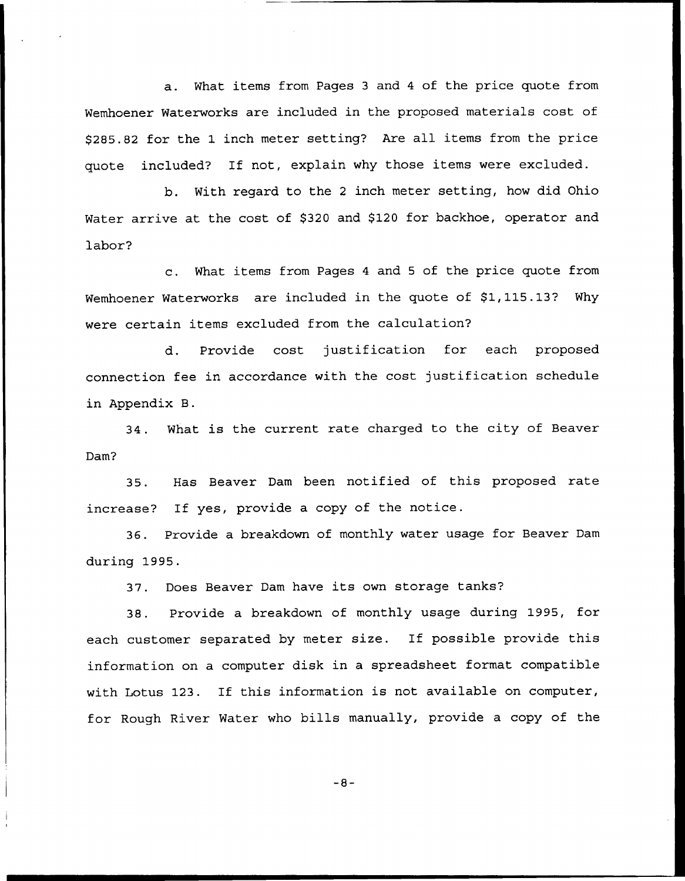a. What items from Pages <sup>3</sup> and <sup>4</sup> of the price quote from Nemhoener Waterworks are included in the proposed materials cost of \$2S5.82 for the 1 inch meter setting? Are all items from the price quote included? If not, explain why those items were excluded.

b. Nith regard to the <sup>2</sup> inch meter setting, how did Ohio Water arrive at the cost of \$320 and \$120 for backhoe, operator and labor?

c. What items from Pages <sup>4</sup> and <sup>5</sup> of the price quote from Wemhoener Waterworks are included in the quote of \$1,115.13? Why were certain items excluded from the calculation?

d. Provide cost justification for each proposed connection fee in accordance with the cost justification schedule in Appendix B.

34. What is the current rate charged to the city of Beaver Dam?

35. Has Beaver Dam been notified of this proposed rate increase? If yes, provide a copy of the notice.

36. Provide a breakdown of monthly water usage for Beaver Dam during 1995.

37. Does Beaver Dam have its own storage tanks?

3S. Provide a breakdown of monthly usage during 1995, for each customer separated by meter size. If possible provide this information on a computer disk in a spreadsheet format compatible with Lotus 123. If this information is not available on computer, for Rough River Water who bills manually, provide a copy of the

 $-8-$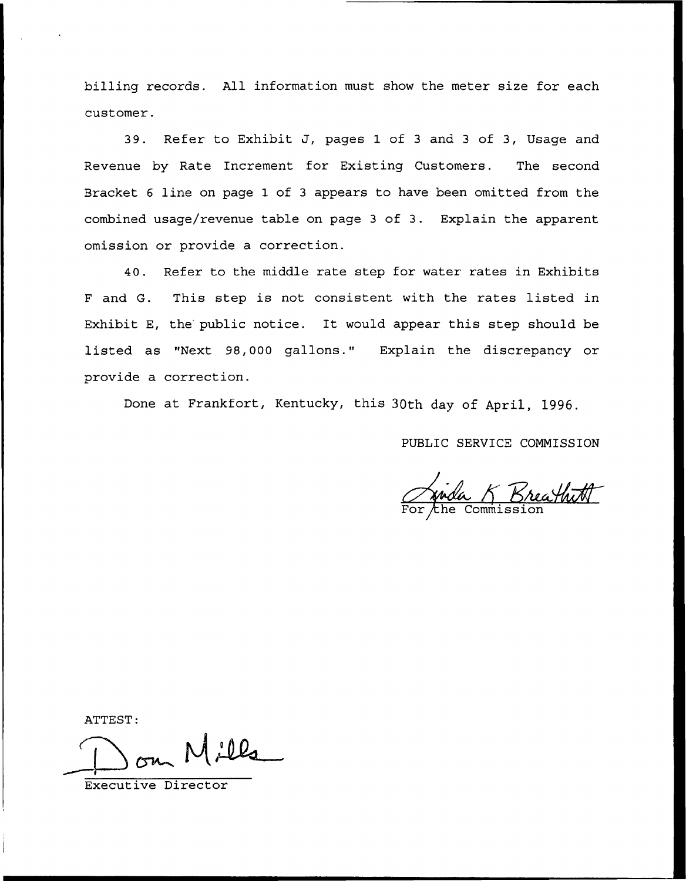billing records. All information must show the meter size for each customer.

39. Refer to Exhibit J, pages 1 of 3 and 3 of 3, Usage and Revenue by Rate Increment for Existing Customers. The second Bracket 6 line on page 1 of 3 appears to have been omitted from the combined usage/revenue table on page <sup>3</sup> of 3. Explain the apparent omission or provide a correction.

40. Refer to the middle rate step for water rates in Exhibits <sup>F</sup> and G. This step is not consistent with the rates listed in Exhibit E, the public notice. It would appear this step should be listed as "Next 98,000 gallons." Explain the discrepancy or provide a correction.

Done at Frankfort, Kentucky, this 30th day of April, 1996.

PUBLIC SERVICE COMMISSION

Junda K Breathith

ATTEST:

Executive Director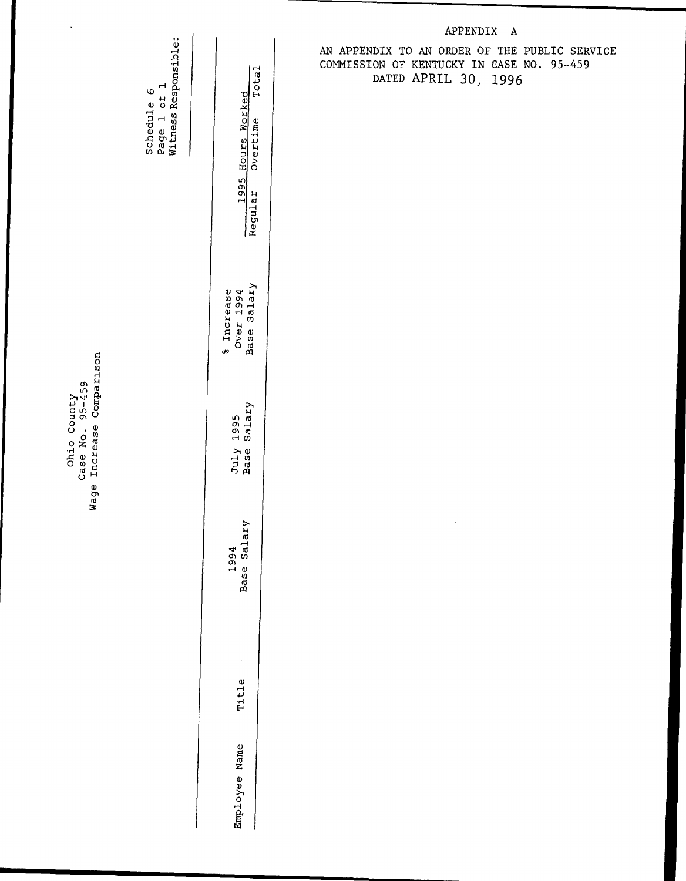$\frac{1}{2}$ \_<br>\_ მ<br>ი ដ<br>អូមិ<br>វិត្ត Ohio Co<sub>l</sub><br>ase No. 9<br>Increase rd rd

o 0 e<br>of<br>Res Sched<br>Page<br>Witnes

ق

| Overtime Total<br>1995 Hours Worked<br>egular |
|-----------------------------------------------|
| ase Salary<br>Increase<br>Over $1994$         |
| Base Salary<br>July 1995                      |
| ase Sa.<br>りりむ                                |
| <b>Titl</b>                                   |
| Name<br>mployee                               |
|                                               |

## APPENDIX A

AN APPENDIX TO AN ORDER OF THE PUBLIC SERVICE COMMISSION OF KENTUCKY IN CASE NO. 95-459 DATED APRIL 30, 1996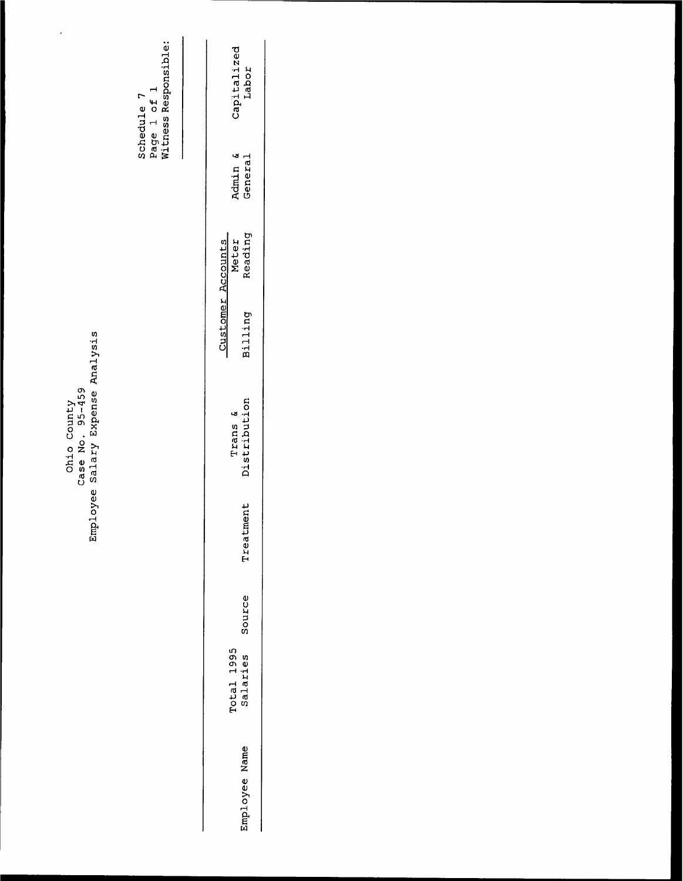N ែក្តី gō<br>U  $\frac{5}{9}$   $\frac{8}{9}$ ដ<br>ី <u>»</u> ក្នុ Nõ,

 $\overline{\phantom{a}}$ 

**STGIOO** o<br>Pes<br>Res ned<br>19 e<br>1 fnes ti<br>Dat<br>H N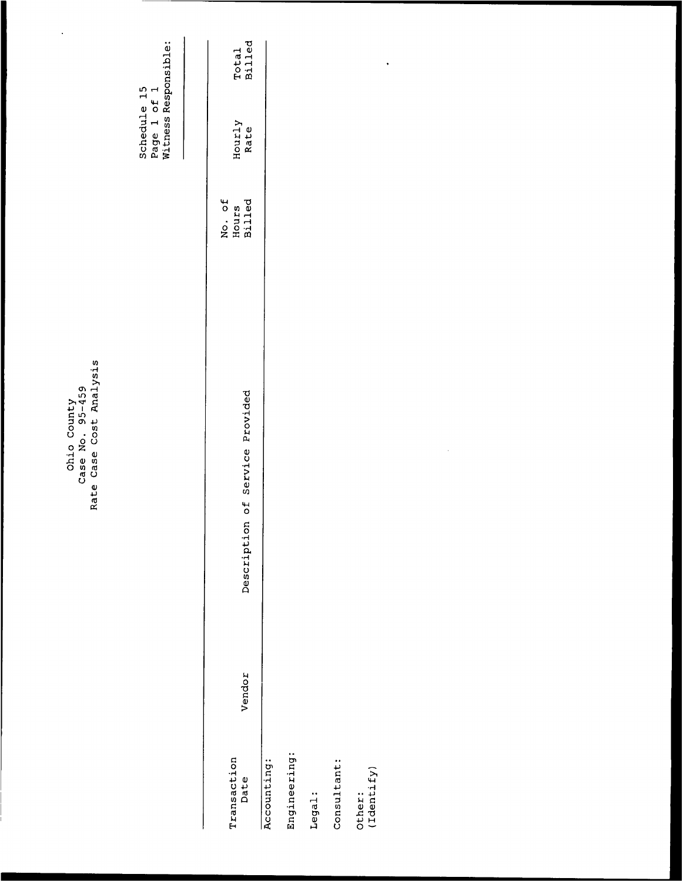|                             |        | Case Cost Analysis<br>Case No. 95-459<br>Ohio County<br>Rate |                                  |                                                    |                        |
|-----------------------------|--------|--------------------------------------------------------------|----------------------------------|----------------------------------------------------|------------------------|
|                             |        |                                                              |                                  | Witness Responsible:<br>Schedule 15<br>Page 1 of 1 |                        |
| Transaction<br>Date         | Vendor | of Service Provided<br>Description                           | No. of<br><b>Billed</b><br>Hours | Hourly<br>Rate                                     | <b>Billed</b><br>Total |
| Engineering:<br>Accounting: |        |                                                              |                                  |                                                    |                        |
| Legal:                      |        |                                                              |                                  |                                                    |                        |
| Consultant:                 |        |                                                              |                                  |                                                    |                        |
| Other:<br>(Identify)        |        |                                                              |                                  |                                                    | $\bullet$              |
|                             |        |                                                              |                                  |                                                    |                        |
|                             |        | $\epsilon$                                                   |                                  |                                                    |                        |
|                             |        |                                                              |                                  |                                                    |                        |
|                             |        |                                                              |                                  |                                                    |                        |
|                             |        |                                                              |                                  |                                                    |                        |
|                             |        |                                                              |                                  |                                                    |                        |
|                             |        |                                                              |                                  |                                                    |                        |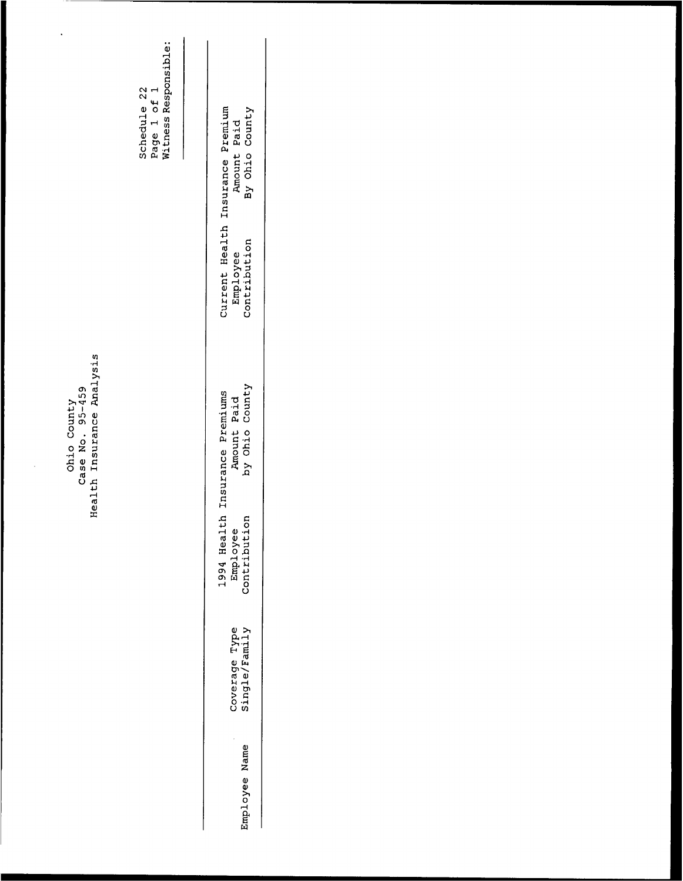# Ohio County<br>Case No. 95-459<br>Health Insurance Analysis

 $\ddot{\phantom{a}}$ 

Schedule 22<br>Page 1 of 1<br>Witness Responsible:

Amount Paid<br>By Ohio County Current Health Insurance Premium Employee<br>Contribution Amount Paid<br>by Ohio County 1994 Health Insurance Premiums<br>Employee Amount Paid<br>Contribution by Ohio County Coverage Type<br>Single/Family Employee Name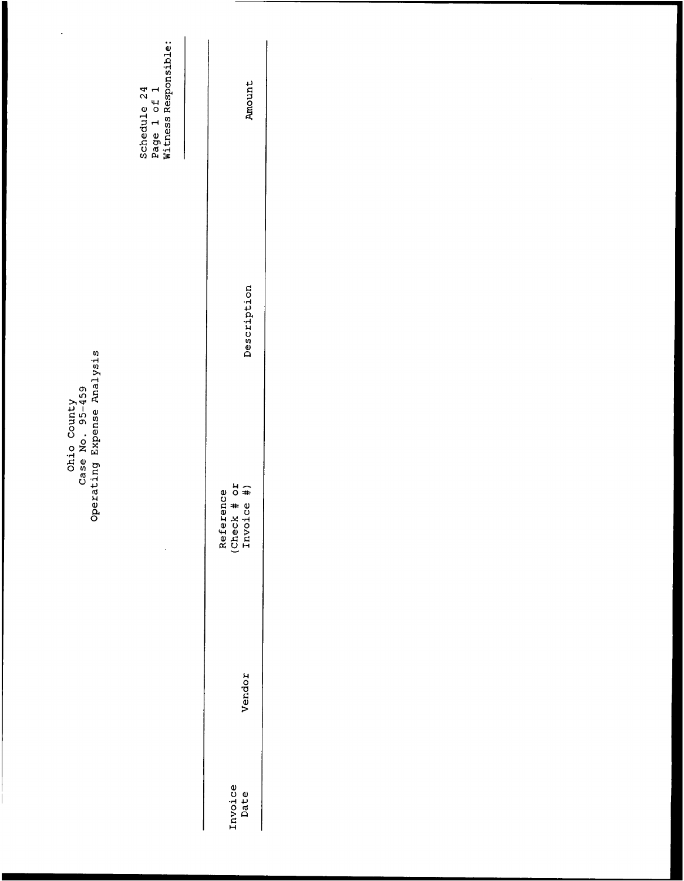| $\hat{\boldsymbol{\beta}}$                                   | Schedule 24<br>Page 1 of 1<br>Witness Responsible: | Amount                                 |
|--------------------------------------------------------------|----------------------------------------------------|----------------------------------------|
|                                                              |                                                    | Description                            |
| Operating Expense Analysis<br>Ohio County<br>Case No. 95-459 |                                                    | Reference<br>(Check # or<br>Invoice #) |
|                                                              |                                                    | Vendor                                 |
|                                                              |                                                    | Invoice<br>Date                        |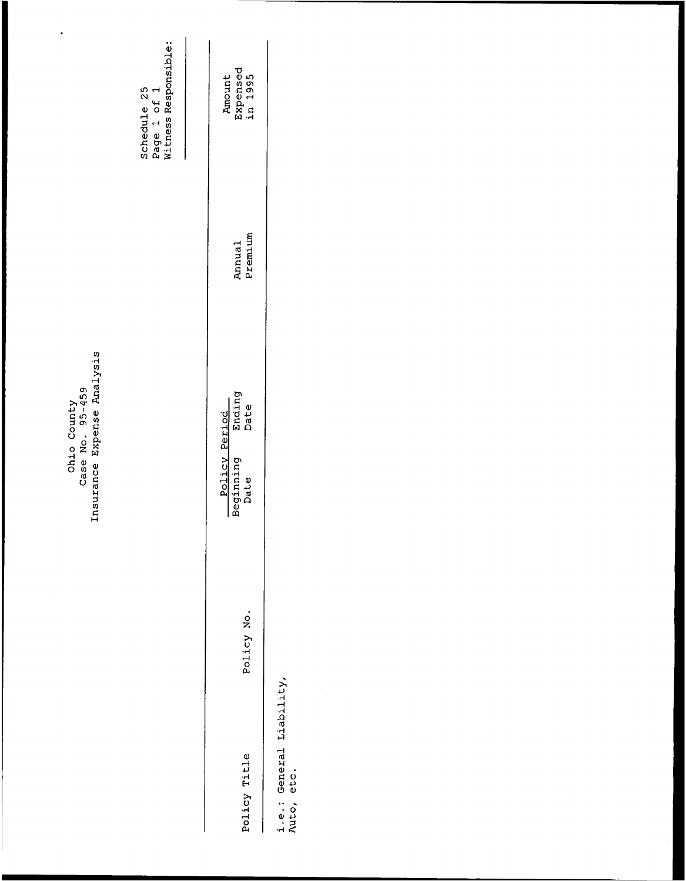|                                                              | Page 1 of 1<br>Witness Responsible:<br>Schedule 25<br>I | Expensed<br>in 1995<br>Amount<br>Premium<br>Annual   |                                        |  |  |
|--------------------------------------------------------------|---------------------------------------------------------|------------------------------------------------------|----------------------------------------|--|--|
| Insurance Expense Analysis<br>Case No. 95-459<br>Ohio County |                                                         | Ending<br>Date<br>Policy Period<br>Beginning<br>Date |                                        |  |  |
|                                                              |                                                         | Policy No.                                           |                                        |  |  |
|                                                              |                                                         | Policy Title                                         | i.e.: General Liability,<br>Auto, etc. |  |  |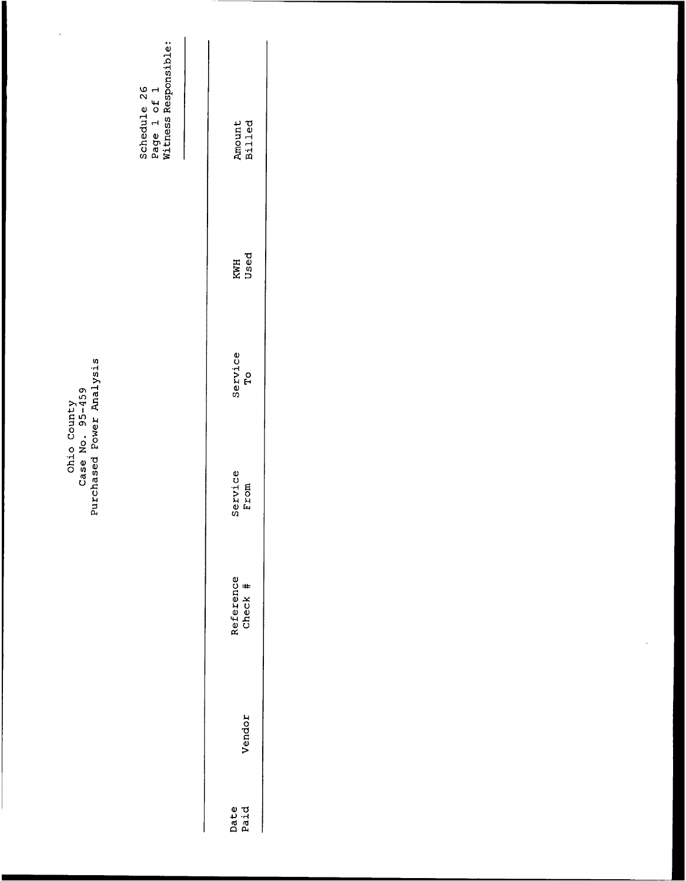| ŗ,                                                         | Schedule 26<br>Page 1 of 1<br>Witness Responsible: | Amount<br>Billed          |
|------------------------------------------------------------|----------------------------------------------------|---------------------------|
|                                                            |                                                    | Used<br>KWH               |
| Purchased Power Analysis<br>Ohio County<br>Case No. 95-459 |                                                    | Service<br>$\overline{P}$ |
|                                                            |                                                    | Service<br>From           |
|                                                            |                                                    | Reference<br>Check #      |
|                                                            |                                                    | Vendor                    |
|                                                            |                                                    | Date<br>Paid              |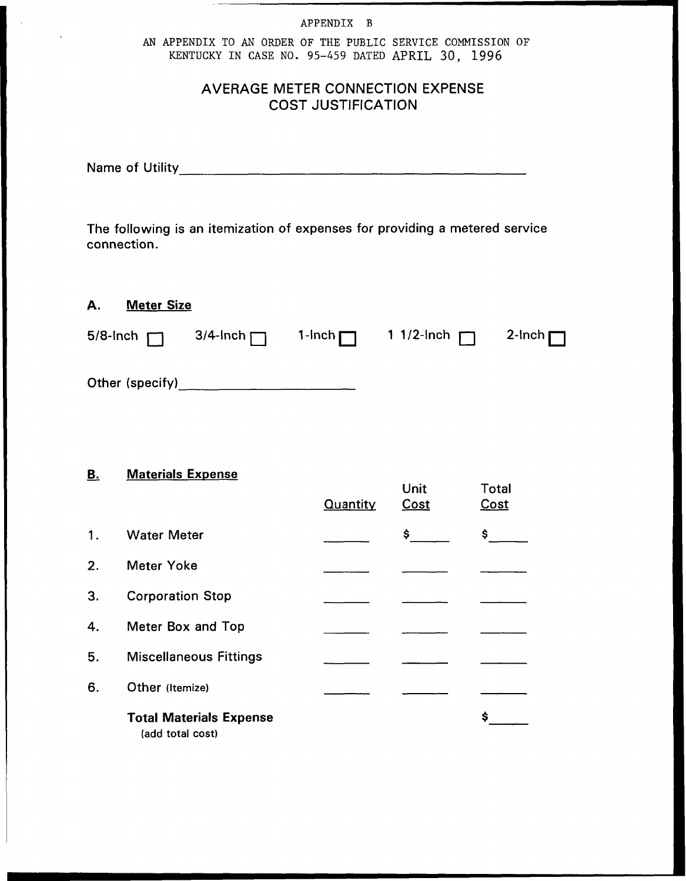# APPENDIX B AN APPENDIX TO AN ORDER OF THE PUBLIC SERVICE COMMISSION OF KENTUCKY IN CASE NO. 95-459 DATED APRIL 30, 1996

# AVERAGE METER CONNECTION EXPENSE COST JuSTIFICATION

Name of Utility

The following is an itemization of expenses for providing a metered service connection.

# A. Meter Size

|                 |  | 5/8-lnch $\Box$ 3/4-lnch $\Box$ 1-lnch $\Box$ 11/2-lnch $\Box$ | 2-Inch $\Box$ |
|-----------------|--|----------------------------------------------------------------|---------------|
| Other (specify) |  |                                                                |               |

## **B.** Materials Expense

|    |                                                    | <b>Quantity</b> | Unit<br>Cost | Total<br><b>Cost</b> |
|----|----------------------------------------------------|-----------------|--------------|----------------------|
| 1. | <b>Water Meter</b>                                 |                 | \$           | \$                   |
| 2. | <b>Meter Yoke</b>                                  |                 |              |                      |
| 3. | <b>Corporation Stop</b>                            |                 |              |                      |
| 4. | Meter Box and Top                                  |                 |              |                      |
| 5. | <b>Miscellaneous Fittings</b>                      |                 |              |                      |
| 6. | Other (Itemize)                                    |                 |              |                      |
|    | <b>Total Materials Expense</b><br>(add total cost) |                 |              | Ś.                   |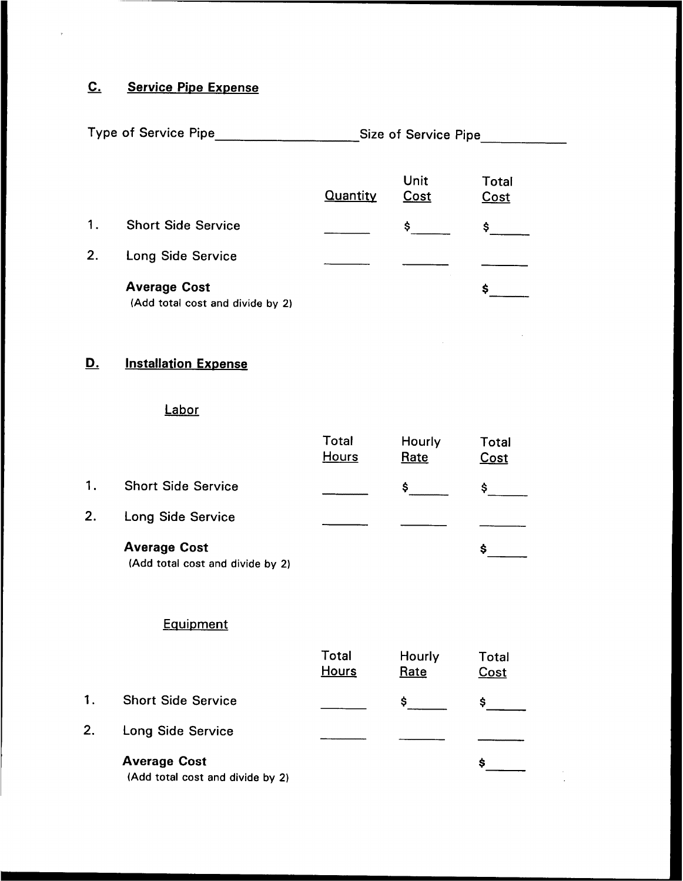# C. Service Pipe Expense

| <b>Type of Service Pipe</b> |  |  | Size of Service Pipe |  |
|-----------------------------|--|--|----------------------|--|
|-----------------------------|--|--|----------------------|--|

|    |                                                         | Quantity | Unit<br>Cost | Total<br>Cost |
|----|---------------------------------------------------------|----------|--------------|---------------|
| 1. | <b>Short Side Service</b>                               |          | Ŝ            |               |
| 2. | Long Side Service                                       |          |              |               |
|    | <b>Average Cost</b><br>(Add total cost and divide by 2) |          |              |               |

# D. Installation Expense

## Labor

|    |                           | <b>Total</b><br><b>Hours</b> | Hourly<br>Rate | Total<br>Cost |
|----|---------------------------|------------------------------|----------------|---------------|
| 1. | <b>Short Side Service</b> |                              | s              |               |
| 2. | Long Side Service         |                              |                |               |
|    | <b>Average Cost</b>       |                              |                | s             |

(Add total cost and divide by 2)

# **Equipment**

|    |                                                         | <b>Total</b><br><b>Hours</b> | Hourly<br>Rate | Total<br>Cost |
|----|---------------------------------------------------------|------------------------------|----------------|---------------|
| 1. | <b>Short Side Service</b>                               |                              |                |               |
| 2. | Long Side Service                                       |                              |                |               |
|    | <b>Average Cost</b><br>(Add total cost and divide by 2) |                              |                | Ś             |